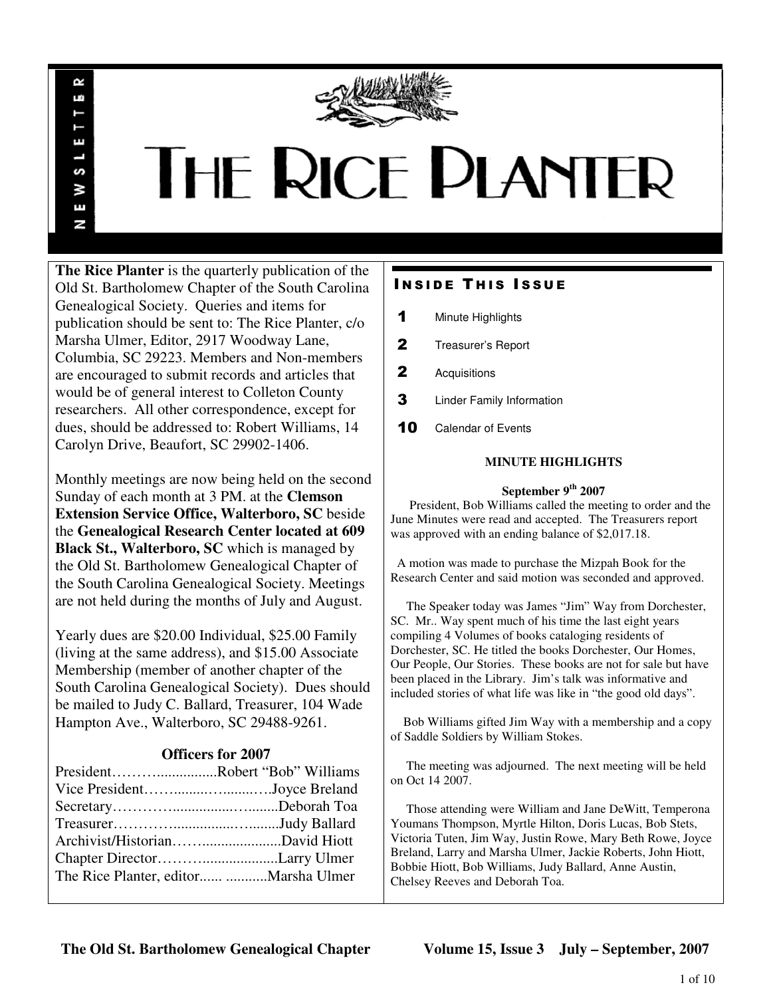

# THE RICE PLANTER

**The Rice Planter** is the quarterly publication of the Old St. Bartholomew Chapter of the South Carolina Genealogical Society. Queries and items for publication should be sent to: The Rice Planter, c/o Marsha Ulmer, Editor, 2917 Woodway Lane, Columbia, SC 29223. Members and Non-members are encouraged to submit records and articles that would be of general interest to Colleton County researchers. All other correspondence, except for dues, should be addressed to: Robert Williams, 14 Carolyn Drive, Beaufort, SC 29902-1406.

R uń

П

S š Ŧ N

Monthly meetings are now being held on the second Sunday of each month at 3 PM. at the **Clemson Extension Service Office, Walterboro, SC** beside the **Genealogical Research Center located at 609 Black St., Walterboro, SC** which is managed by the Old St. Bartholomew Genealogical Chapter of the South Carolina Genealogical Society. Meetings are not held during the months of July and August.

Yearly dues are \$20.00 Individual, \$25.00 Family (living at the same address), and \$15.00 Associate Membership (member of another chapter of the South Carolina Genealogical Society). Dues should be mailed to Judy C. Ballard, Treasurer, 104 Wade Hampton Ave., Walterboro, SC 29488-9261.

## **Officers for 2007**

| PresidentRobert "Bob" Williams        |  |
|---------------------------------------|--|
| Vice PresidentJoyce Breland           |  |
|                                       |  |
|                                       |  |
|                                       |  |
|                                       |  |
| The Rice Planter, editor Marsha Ulmer |  |

# **INSIDE THIS ISSUE**

- 1 Minute Highlights
- 2 Treasurer's Report
- 2 Acquisitions
- **3** Linder Family Information
- 10 Calendar of Events

## **MINUTE HIGHLIGHTS**

#### **September 9th 2007**

 President, Bob Williams called the meeting to order and the June Minutes were read and accepted. The Treasurers report was approved with an ending balance of \$2,017.18.

 A motion was made to purchase the Mizpah Book for the Research Center and said motion was seconded and approved.

 The Speaker today was James "Jim" Way from Dorchester, SC. Mr.. Way spent much of his time the last eight years compiling 4 Volumes of books cataloging residents of Dorchester, SC. He titled the books Dorchester, Our Homes, Our People, Our Stories. These books are not for sale but have been placed in the Library. Jim's talk was informative and included stories of what life was like in "the good old days".

 Bob Williams gifted Jim Way with a membership and a copy of Saddle Soldiers by William Stokes.

 The meeting was adjourned. The next meeting will be held on Oct 14 2007.

 Those attending were William and Jane DeWitt, Temperona Youmans Thompson, Myrtle Hilton, Doris Lucas, Bob Stets, Victoria Tuten, Jim Way, Justin Rowe, Mary Beth Rowe, Joyce Breland, Larry and Marsha Ulmer, Jackie Roberts, John Hiott, Bobbie Hiott, Bob Williams, Judy Ballard, Anne Austin, Chelsey Reeves and Deborah Toa.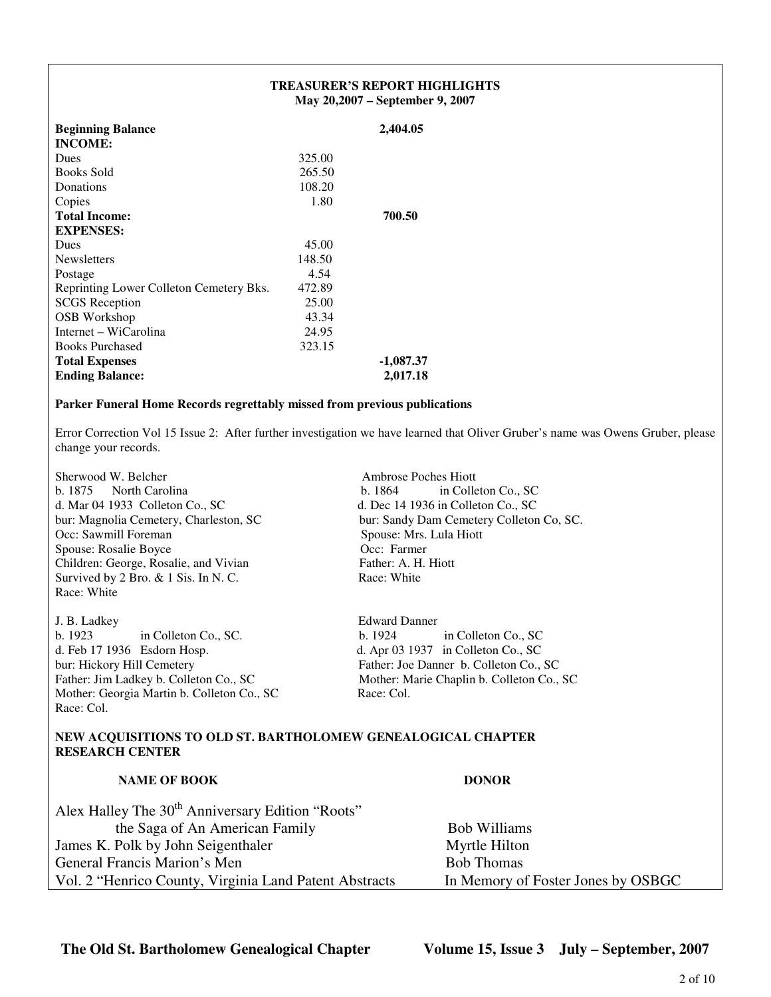|                                         | <b>TREASURER'S REPORT HIGHLIGHTS</b><br>May 20,2007 – September 9, 2007 |             |
|-----------------------------------------|-------------------------------------------------------------------------|-------------|
| <b>Beginning Balance</b>                |                                                                         | 2,404.05    |
| <b>INCOME:</b>                          |                                                                         |             |
| Dues                                    | 325.00                                                                  |             |
| <b>Books Sold</b>                       | 265.50                                                                  |             |
| Donations                               | 108.20                                                                  |             |
| Copies                                  | 1.80                                                                    |             |
| <b>Total Income:</b>                    |                                                                         | 700.50      |
| <b>EXPENSES:</b>                        |                                                                         |             |
| Dues                                    | 45.00                                                                   |             |
| <b>Newsletters</b>                      | 148.50                                                                  |             |
| Postage                                 | 4.54                                                                    |             |
| Reprinting Lower Colleton Cemetery Bks. | 472.89                                                                  |             |
| <b>SCGS</b> Reception                   | 25.00                                                                   |             |
| OSB Workshop                            | 43.34                                                                   |             |
| Internet – WiCarolina                   | 24.95                                                                   |             |
| <b>Books Purchased</b>                  | 323.15                                                                  |             |
| <b>Total Expenses</b>                   |                                                                         | $-1,087.37$ |
| <b>Ending Balance:</b>                  |                                                                         | 2,017.18    |

#### **Parker Funeral Home Records regrettably missed from previous publications**

Error Correction Vol 15 Issue 2: After further investigation we have learned that Oliver Gruber's name was Owens Gruber, please change your records.

Sherwood W. Belcher Ambrose Poches Hiott b. 1875 North Carolina b. 1864 in Colleton Co., SC d. Mar 04 1933 Colleton Co., SC d. Dec 14 1936 in Colleton Co., SC Occ: Sawmill Foreman Spouse: Mrs. Lula Hiott Spouse: Rosalie Boyce Occ: Farmer Children: George, Rosalie, and Vivian Father: A. H. Hiott Survived by 2 Bro. & 1 Sis. In N. C. Race: White Race: White

J. B. Ladkey<br>
b. 1923 in Colleton Co., SC.<br>
b. 1924 in Colleton Co., SC b. 1923 in Colleton Co., SC. b. 1924 in Colleton Co., SC d. Feb 17 1936 Esdorn Hosp. d. Apr 03 1937 in Colleton Co., SC bur: Hickory Hill Cemetery Father: Joe Danner b. Colleton Co., SC Father: Jim Ladkey b. Colleton Co., SC Mother: Marie Chaplin b. Colleton Co., SC Mother: Georgia Martin b. Colleton Co., SC Race: Col. Race: Col.

bur: Magnolia Cemetery, Charleston, SC bur: Sandy Dam Cemetery Colleton Co, SC.

#### **NEW ACQUISITIONS TO OLD ST. BARTHOLOMEW GENEALOGICAL CHAPTER RESEARCH CENTER**

| <b>NAME OF BOOK</b>                                          | <b>DONOR</b>                       |
|--------------------------------------------------------------|------------------------------------|
| Alex Halley The 30 <sup>th</sup> Anniversary Edition "Roots" |                                    |
| the Saga of An American Family                               | <b>Bob Williams</b>                |
| James K. Polk by John Seigenthaler                           | Myrtle Hilton                      |
| General Francis Marion's Men                                 | <b>Bob Thomas</b>                  |
| Vol. 2 "Henrico County, Virginia Land Patent Abstracts       | In Memory of Foster Jones by OSBGC |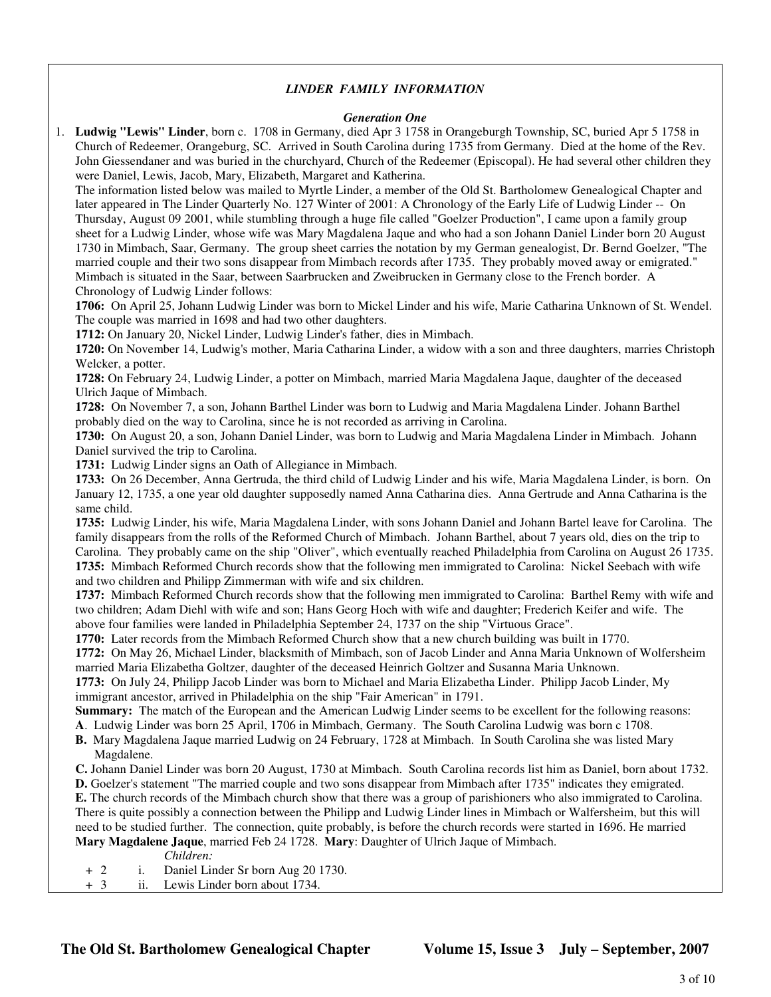#### *LINDER FAMILY INFORMATION*

#### *Generation One*

1. **Ludwig "Lewis" Linder**, born c. 1708 in Germany, died Apr 3 1758 in Orangeburgh Township, SC, buried Apr 5 1758 in Church of Redeemer, Orangeburg, SC. Arrived in South Carolina during 1735 from Germany. Died at the home of the Rev. John Giessendaner and was buried in the churchyard, Church of the Redeemer (Episcopal). He had several other children they were Daniel, Lewis, Jacob, Mary, Elizabeth, Margaret and Katherina.

 The information listed below was mailed to Myrtle Linder, a member of the Old St. Bartholomew Genealogical Chapter and later appeared in The Linder Quarterly No. 127 Winter of 2001: A Chronology of the Early Life of Ludwig Linder -- On Thursday, August 09 2001, while stumbling through a huge file called "Goelzer Production", I came upon a family group sheet for a Ludwig Linder, whose wife was Mary Magdalena Jaque and who had a son Johann Daniel Linder born 20 August 1730 in Mimbach, Saar, Germany. The group sheet carries the notation by my German genealogist, Dr. Bernd Goelzer, "The married couple and their two sons disappear from Mimbach records after 1735. They probably moved away or emigrated." Mimbach is situated in the Saar, between Saarbrucken and Zweibrucken in Germany close to the French border. A Chronology of Ludwig Linder follows:

**1706:** On April 25, Johann Ludwig Linder was born to Mickel Linder and his wife, Marie Catharina Unknown of St. Wendel. The couple was married in 1698 and had two other daughters.

**1712:** On January 20, Nickel Linder, Ludwig Linder's father, dies in Mimbach.

**1720:** On November 14, Ludwig's mother, Maria Catharina Linder, a widow with a son and three daughters, marries Christoph Welcker, a potter.

**1728:** On February 24, Ludwig Linder, a potter on Mimbach, married Maria Magdalena Jaque, daughter of the deceased Ulrich Jaque of Mimbach.

**1728:** On November 7, a son, Johann Barthel Linder was born to Ludwig and Maria Magdalena Linder. Johann Barthel probably died on the way to Carolina, since he is not recorded as arriving in Carolina.

**1730:** On August 20, a son, Johann Daniel Linder, was born to Ludwig and Maria Magdalena Linder in Mimbach. Johann Daniel survived the trip to Carolina.

**1731:** Ludwig Linder signs an Oath of Allegiance in Mimbach.

**1733:** On 26 December, Anna Gertruda, the third child of Ludwig Linder and his wife, Maria Magdalena Linder, is born. On January 12, 1735, a one year old daughter supposedly named Anna Catharina dies. Anna Gertrude and Anna Catharina is the same child.

**1735:** Ludwig Linder, his wife, Maria Magdalena Linder, with sons Johann Daniel and Johann Bartel leave for Carolina. The family disappears from the rolls of the Reformed Church of Mimbach. Johann Barthel, about 7 years old, dies on the trip to Carolina. They probably came on the ship "Oliver", which eventually reached Philadelphia from Carolina on August 26 1735. **1735:** Mimbach Reformed Church records show that the following men immigrated to Carolina: Nickel Seebach with wife and two children and Philipp Zimmerman with wife and six children.

**1737:** Mimbach Reformed Church records show that the following men immigrated to Carolina: Barthel Remy with wife and two children; Adam Diehl with wife and son; Hans Georg Hoch with wife and daughter; Frederich Keifer and wife. The above four families were landed in Philadelphia September 24, 1737 on the ship "Virtuous Grace".

**1770:** Later records from the Mimbach Reformed Church show that a new church building was built in 1770.

**1772:** On May 26, Michael Linder, blacksmith of Mimbach, son of Jacob Linder and Anna Maria Unknown of Wolfersheim married Maria Elizabetha Goltzer, daughter of the deceased Heinrich Goltzer and Susanna Maria Unknown.

**1773:** On July 24, Philipp Jacob Linder was born to Michael and Maria Elizabetha Linder. Philipp Jacob Linder, My immigrant ancestor, arrived in Philadelphia on the ship "Fair American" in 1791.

**Summary:** The match of the European and the American Ludwig Linder seems to be excellent for the following reasons:

- **A**. Ludwig Linder was born 25 April, 1706 in Mimbach, Germany. The South Carolina Ludwig was born c 1708.
- **B.** Mary Magdalena Jaque married Ludwig on 24 February, 1728 at Mimbach. In South Carolina she was listed Mary Magdalene.
- **C.** Johann Daniel Linder was born 20 August, 1730 at Mimbach. South Carolina records list him as Daniel, born about 1732.

**D.** Goelzer's statement "The married couple and two sons disappear from Mimbach after 1735" indicates they emigrated.

**E.** The church records of the Mimbach church show that there was a group of parishioners who also immigrated to Carolina. There is quite possibly a connection between the Philipp and Ludwig Linder lines in Mimbach or Walfersheim, but this will need to be studied further. The connection, quite probably, is before the church records were started in 1696. He married **Mary Magdalene Jaque**, married Feb 24 1728. **Mary**: Daughter of Ulrich Jaque of Mimbach.

*Children:*

- + 2 i. Daniel Linder Sr born Aug 20 1730.
- + 3 ii. Lewis Linder born about 1734.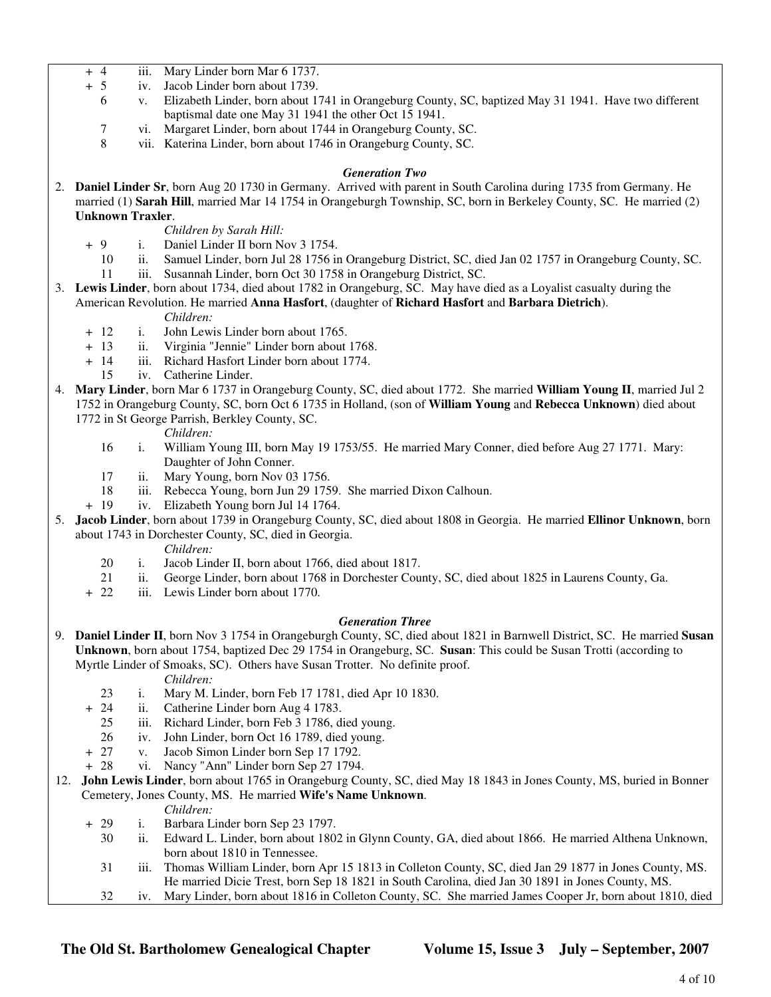- + 4 iii. Mary Linder born Mar 6 1737.
- + 5 iv. Jacob Linder born about 1739.
	- 6 v. Elizabeth Linder, born about 1741 in Orangeburg County, SC, baptized May 31 1941. Have two different baptismal date one May 31 1941 the other Oct 15 1941.
	- 7 vi. Margaret Linder, born about 1744 in Orangeburg County, SC.
	- 8 vii. Katerina Linder, born about 1746 in Orangeburg County, SC.

#### *Generation Two*

2. **Daniel Linder Sr**, born Aug 20 1730 in Germany. Arrived with parent in South Carolina during 1735 from Germany. He married (1) **Sarah Hill**, married Mar 14 1754 in Orangeburgh Township, SC, born in Berkeley County, SC. He married (2) **Unknown Traxler**.

#### *Children by Sarah Hill:*

- + 9 i. Daniel Linder II born Nov 3 1754.
	- 10 ii. Samuel Linder, born Jul 28 1756 in Orangeburg District, SC, died Jan 02 1757 in Orangeburg County, SC.
	- 11 iii. Susannah Linder, born Oct 30 1758 in Orangeburg District, SC.
- 3. **Lewis Linder**, born about 1734, died about 1782 in Orangeburg, SC. May have died as a Loyalist casualty during the American Revolution. He married **Anna Hasfort**, (daughter of **Richard Hasfort** and **Barbara Dietrich**). *Children:*
	- + 12 i. John Lewis Linder born about 1765.
	- + 13 ii. Virginia "Jennie" Linder born about 1768.
	- + 14 iii. Richard Hasfort Linder born about 1774.
		- 15 iv. Catherine Linder.
- 4. **Mary Linder**, born Mar 6 1737 in Orangeburg County, SC, died about 1772. She married **William Young II**, married Jul 2 1752 in Orangeburg County, SC, born Oct 6 1735 in Holland, (son of **William Young** and **Rebecca Unknown**) died about 1772 in St George Parrish, Berkley County, SC.

#### *Children:*

- 16 i. William Young III, born May 19 1753/55. He married Mary Conner, died before Aug 27 1771. Mary: Daughter of John Conner.
- 17 ii. Mary Young, born Nov 03 1756.
- 18 iii. Rebecca Young, born Jun 29 1759. She married Dixon Calhoun.
- + 19 iv. Elizabeth Young born Jul 14 1764.
- 5. **Jacob Linder**, born about 1739 in Orangeburg County, SC, died about 1808 in Georgia. He married **Ellinor Unknown**, born about 1743 in Dorchester County, SC, died in Georgia.

*Children:*

- 20 i. Jacob Linder II, born about 1766, died about 1817.
- 21 ii. George Linder, born about 1768 in Dorchester County, SC, died about 1825 in Laurens County, Ga.
- + 22 iii. Lewis Linder born about 1770.

#### *Generation Three*

9. **Daniel Linder II**, born Nov 3 1754 in Orangeburgh County, SC, died about 1821 in Barnwell District, SC. He married **Susan Unknown**, born about 1754, baptized Dec 29 1754 in Orangeburg, SC. **Susan**: This could be Susan Trotti (according to Myrtle Linder of Smoaks, SC). Others have Susan Trotter. No definite proof.

*Children:*

- 23 i. Mary M. Linder, born Feb 17 1781, died Apr 10 1830.
- + 24 ii. Catherine Linder born Aug 4 1783.
	- 25 iii. Richard Linder, born Feb 3 1786, died young.
	- 26 iv. John Linder, born Oct 16 1789, died young.
- + 27 v. Jacob Simon Linder born Sep 17 1792.
- + 28 vi. Nancy "Ann" Linder born Sep 27 1794.
- 12. **John Lewis Linder**, born about 1765 in Orangeburg County, SC, died May 18 1843 in Jones County, MS, buried in Bonner Cemetery, Jones County, MS. He married **Wife's Name Unknown**.

#### *Children:*

- + 29 i. Barbara Linder born Sep 23 1797.
	- 30 ii. Edward L. Linder, born about 1802 in Glynn County, GA, died about 1866. He married Althena Unknown, born about 1810 in Tennessee.
	- 31 iii. Thomas William Linder, born Apr 15 1813 in Colleton County, SC, died Jan 29 1877 in Jones County, MS. He married Dicie Trest, born Sep 18 1821 in South Carolina, died Jan 30 1891 in Jones County, MS.
	- 32 iv. Mary Linder, born about 1816 in Colleton County, SC. She married James Cooper Jr, born about 1810, died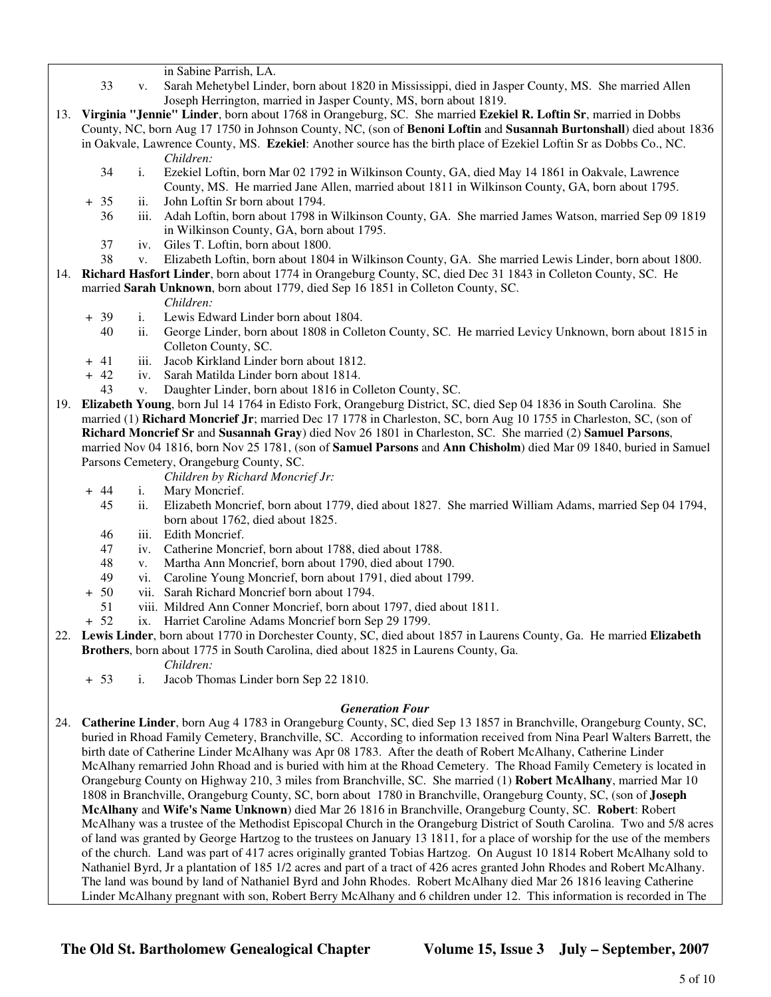in Sabine Parrish, LA.

- 33 v. Sarah Mehetybel Linder, born about 1820 in Mississippi, died in Jasper County, MS. She married Allen Joseph Herrington, married in Jasper County, MS, born about 1819.
- 13. **Virginia "Jennie" Linder**, born about 1768 in Orangeburg, SC. She married **Ezekiel R. Loftin Sr**, married in Dobbs County, NC, born Aug 17 1750 in Johnson County, NC, (son of **Benoni Loftin** and **Susannah Burtonshall**) died about 1836 in Oakvale, Lawrence County, MS. **Ezekiel**: Another source has the birth place of Ezekiel Loftin Sr as Dobbs Co., NC. *Children:*
	- 34 i. Ezekiel Loftin, born Mar 02 1792 in Wilkinson County, GA, died May 14 1861 in Oakvale, Lawrence County, MS. He married Jane Allen, married about 1811 in Wilkinson County, GA, born about 1795.
	- + 35 ii. John Loftin Sr born about 1794.
		- 36 iii. Adah Loftin, born about 1798 in Wilkinson County, GA. She married James Watson, married Sep 09 1819 in Wilkinson County, GA, born about 1795.
		- 37 iv. Giles T. Loftin, born about 1800.
		- 38 v. Elizabeth Loftin, born about 1804 in Wilkinson County, GA. She married Lewis Linder, born about 1800.
- 14. **Richard Hasfort Linder**, born about 1774 in Orangeburg County, SC, died Dec 31 1843 in Colleton County, SC. He married **Sarah Unknown**, born about 1779, died Sep 16 1851 in Colleton County, SC.

#### *Children:*

- + 39 i. Lewis Edward Linder born about 1804.
	- 40 ii. George Linder, born about 1808 in Colleton County, SC. He married Levicy Unknown, born about 1815 in Colleton County, SC.
- + 41 iii. Jacob Kirkland Linder born about 1812.
- + 42 iv. Sarah Matilda Linder born about 1814.
- 43 v. Daughter Linder, born about 1816 in Colleton County, SC.
- 19. **Elizabeth Young**, born Jul 14 1764 in Edisto Fork, Orangeburg District, SC, died Sep 04 1836 in South Carolina. She married (1) **Richard Moncrief Jr**; married Dec 17 1778 in Charleston, SC, born Aug 10 1755 in Charleston, SC, (son of **Richard Moncrief Sr** and **Susannah Gray**) died Nov 26 1801 in Charleston, SC. She married (2) **Samuel Parsons**, married Nov 04 1816, born Nov 25 1781, (son of **Samuel Parsons** and **Ann Chisholm**) died Mar 09 1840, buried in Samuel Parsons Cemetery, Orangeburg County, SC.
	- *Children by Richard Moncrief Jr:*
	- + 44 i. Mary Moncrief.
		- 45 ii. Elizabeth Moncrief, born about 1779, died about 1827. She married William Adams, married Sep 04 1794, born about 1762, died about 1825.
		- 46 iii. Edith Moncrief.
		- 47 iv. Catherine Moncrief, born about 1788, died about 1788.
		- 48 v. Martha Ann Moncrief, born about 1790, died about 1790.
		- 49 vi. Caroline Young Moncrief, born about 1791, died about 1799.
	- + 50 vii. Sarah Richard Moncrief born about 1794.
		- 51 viii. Mildred Ann Conner Moncrief, born about 1797, died about 1811.
	- + 52 ix. Harriet Caroline Adams Moncrief born Sep 29 1799.
- 22. **Lewis Linder**, born about 1770 in Dorchester County, SC, died about 1857 in Laurens County, Ga. He married **Elizabeth Brothers**, born about 1775 in South Carolina, died about 1825 in Laurens County, Ga.
	- *Children:*
	- + 53 i. Jacob Thomas Linder born Sep 22 1810.

## *Generation Four*

24. **Catherine Linder**, born Aug 4 1783 in Orangeburg County, SC, died Sep 13 1857 in Branchville, Orangeburg County, SC, buried in Rhoad Family Cemetery, Branchville, SC. According to information received from Nina Pearl Walters Barrett, the birth date of Catherine Linder McAlhany was Apr 08 1783. After the death of Robert McAlhany, Catherine Linder McAlhany remarried John Rhoad and is buried with him at the Rhoad Cemetery. The Rhoad Family Cemetery is located in Orangeburg County on Highway 210, 3 miles from Branchville, SC. She married (1) **Robert McAlhany**, married Mar 10 1808 in Branchville, Orangeburg County, SC, born about 1780 in Branchville, Orangeburg County, SC, (son of **Joseph McAlhany** and **Wife's Name Unknown**) died Mar 26 1816 in Branchville, Orangeburg County, SC. **Robert**: Robert McAlhany was a trustee of the Methodist Episcopal Church in the Orangeburg District of South Carolina. Two and 5/8 acres of land was granted by George Hartzog to the trustees on January 13 1811, for a place of worship for the use of the members of the church. Land was part of 417 acres originally granted Tobias Hartzog. On August 10 1814 Robert McAlhany sold to Nathaniel Byrd, Jr a plantation of 185 1/2 acres and part of a tract of 426 acres granted John Rhodes and Robert McAlhany. The land was bound by land of Nathaniel Byrd and John Rhodes. Robert McAlhany died Mar 26 1816 leaving Catherine Linder McAlhany pregnant with son, Robert Berry McAlhany and 6 children under 12. This information is recorded in The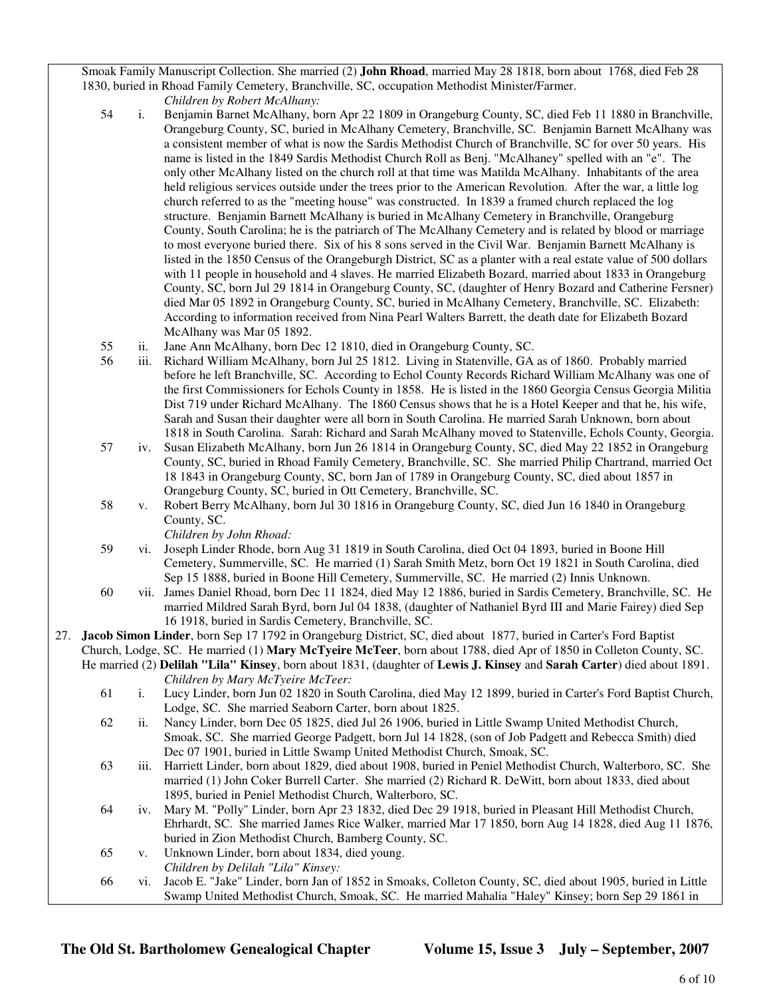Smoak Family Manuscript Collection. She married (2) **John Rhoad**, married May 28 1818, born about 1768, died Feb 28 1830, buried in Rhoad Family Cemetery, Branchville, SC, occupation Methodist Minister/Farmer.

*Children by Robert McAlhany:*

- 54 i. Benjamin Barnet McAlhany, born Apr 22 1809 in Orangeburg County, SC, died Feb 11 1880 in Branchville, Orangeburg County, SC, buried in McAlhany Cemetery, Branchville, SC. Benjamin Barnett McAlhany was a consistent member of what is now the Sardis Methodist Church of Branchville, SC for over 50 years. His name is listed in the 1849 Sardis Methodist Church Roll as Benj. "McAlhaney" spelled with an "e". The only other McAlhany listed on the church roll at that time was Matilda McAlhany. Inhabitants of the area held religious services outside under the trees prior to the American Revolution. After the war, a little log church referred to as the "meeting house" was constructed. In 1839 a framed church replaced the log structure. Benjamin Barnett McAlhany is buried in McAlhany Cemetery in Branchville, Orangeburg County, South Carolina; he is the patriarch of The McAlhany Cemetery and is related by blood or marriage to most everyone buried there. Six of his 8 sons served in the Civil War. Benjamin Barnett McAlhany is listed in the 1850 Census of the Orangeburgh District, SC as a planter with a real estate value of 500 dollars with 11 people in household and 4 slaves. He married Elizabeth Bozard, married about 1833 in Orangeburg County, SC, born Jul 29 1814 in Orangeburg County, SC, (daughter of Henry Bozard and Catherine Fersner) died Mar 05 1892 in Orangeburg County, SC, buried in McAlhany Cemetery, Branchville, SC. Elizabeth: According to information received from Nina Pearl Walters Barrett, the death date for Elizabeth Bozard McAlhany was Mar 05 1892.
- 55 ii. Jane Ann McAlhany, born Dec 12 1810, died in Orangeburg County, SC.
- 56 iii. Richard William McAlhany, born Jul 25 1812. Living in Statenville, GA as of 1860. Probably married before he left Branchville, SC. According to Echol County Records Richard William McAlhany was one of the first Commissioners for Echols County in 1858. He is listed in the 1860 Georgia Census Georgia Militia Dist 719 under Richard McAlhany. The 1860 Census shows that he is a Hotel Keeper and that he, his wife, Sarah and Susan their daughter were all born in South Carolina. He married Sarah Unknown, born about 1818 in South Carolina. Sarah: Richard and Sarah McAlhany moved to Statenville, Echols County, Georgia.
- 57 iv. Susan Elizabeth McAlhany, born Jun 26 1814 in Orangeburg County, SC, died May 22 1852 in Orangeburg County, SC, buried in Rhoad Family Cemetery, Branchville, SC. She married Philip Chartrand, married Oct 18 1843 in Orangeburg County, SC, born Jan of 1789 in Orangeburg County, SC, died about 1857 in Orangeburg County, SC, buried in Ott Cemetery, Branchville, SC.
- 58 v. Robert Berry McAlhany, born Jul 30 1816 in Orangeburg County, SC, died Jun 16 1840 in Orangeburg County, SC.

*Children by John Rhoad:*

- 59 vi. Joseph Linder Rhode, born Aug 31 1819 in South Carolina, died Oct 04 1893, buried in Boone Hill Cemetery, Summerville, SC. He married (1) Sarah Smith Metz, born Oct 19 1821 in South Carolina, died Sep 15 1888, buried in Boone Hill Cemetery, Summerville, SC. He married (2) Innis Unknown.
- 60 vii. James Daniel Rhoad, born Dec 11 1824, died May 12 1886, buried in Sardis Cemetery, Branchville, SC. He married Mildred Sarah Byrd, born Jul 04 1838, (daughter of Nathaniel Byrd III and Marie Fairey) died Sep 16 1918, buried in Sardis Cemetery, Branchville, SC.
- 27. **Jacob Simon Linder**, born Sep 17 1792 in Orangeburg District, SC, died about 1877, buried in Carter's Ford Baptist Church, Lodge, SC. He married (1) **Mary McTyeire McTeer**, born about 1788, died Apr of 1850 in Colleton County, SC.

He married (2) **Delilah "Lila" Kinsey**, born about 1831, (daughter of **Lewis J. Kinsey** and **Sarah Carter**) died about 1891. *Children by Mary McTyeire McTeer:*

- 61 i. Lucy Linder, born Jun 02 1820 in South Carolina, died May 12 1899, buried in Carter's Ford Baptist Church, Lodge, SC. She married Seaborn Carter, born about 1825.
- 62 ii. Nancy Linder, born Dec 05 1825, died Jul 26 1906, buried in Little Swamp United Methodist Church, Smoak, SC. She married George Padgett, born Jul 14 1828, (son of Job Padgett and Rebecca Smith) died Dec 07 1901, buried in Little Swamp United Methodist Church, Smoak, SC.
- 63 iii. Harriett Linder, born about 1829, died about 1908, buried in Peniel Methodist Church, Walterboro, SC. She married (1) John Coker Burrell Carter. She married (2) Richard R. DeWitt, born about 1833, died about 1895, buried in Peniel Methodist Church, Walterboro, SC.
- 64 iv. Mary M. "Polly" Linder, born Apr 23 1832, died Dec 29 1918, buried in Pleasant Hill Methodist Church, Ehrhardt, SC. She married James Rice Walker, married Mar 17 1850, born Aug 14 1828, died Aug 11 1876, buried in Zion Methodist Church, Bamberg County, SC.
- 65 v. Unknown Linder, born about 1834, died young. *Children by Delilah "Lila" Kinsey:*
- 66 vi. Jacob E. "Jake" Linder, born Jan of 1852 in Smoaks, Colleton County, SC, died about 1905, buried in Little Swamp United Methodist Church, Smoak, SC. He married Mahalia "Haley" Kinsey; born Sep 29 1861 in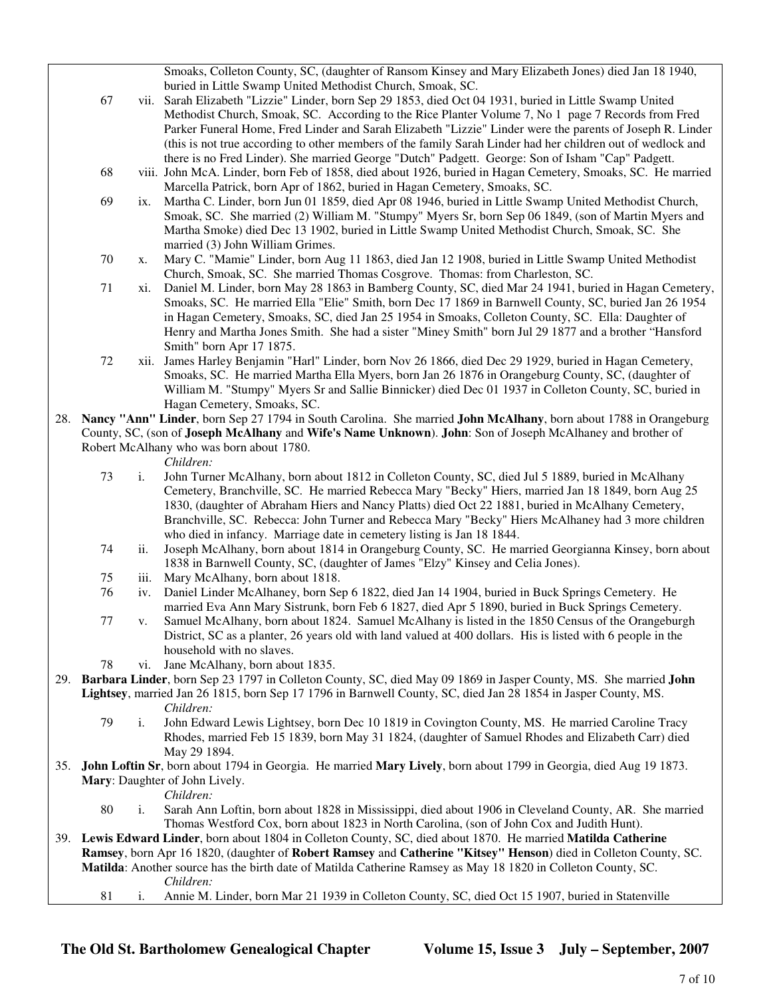Smoaks, Colleton County, SC, (daughter of Ransom Kinsey and Mary Elizabeth Jones) died Jan 18 1940, buried in Little Swamp United Methodist Church, Smoak, SC.

- 67 vii. Sarah Elizabeth "Lizzie" Linder, born Sep 29 1853, died Oct 04 1931, buried in Little Swamp United Methodist Church, Smoak, SC. According to the Rice Planter Volume 7, No 1 page 7 Records from Fred Parker Funeral Home, Fred Linder and Sarah Elizabeth "Lizzie" Linder were the parents of Joseph R. Linder (this is not true according to other members of the family Sarah Linder had her children out of wedlock and there is no Fred Linder). She married George "Dutch" Padgett. George: Son of Isham "Cap" Padgett.
- 68 viii. John McA. Linder, born Feb of 1858, died about 1926, buried in Hagan Cemetery, Smoaks, SC. He married Marcella Patrick, born Apr of 1862, buried in Hagan Cemetery, Smoaks, SC.
- 69 ix. Martha C. Linder, born Jun 01 1859, died Apr 08 1946, buried in Little Swamp United Methodist Church, Smoak, SC. She married (2) William M. "Stumpy" Myers Sr, born Sep 06 1849, (son of Martin Myers and Martha Smoke) died Dec 13 1902, buried in Little Swamp United Methodist Church, Smoak, SC. She married (3) John William Grimes.
- 70 x. Mary C. "Mamie" Linder, born Aug 11 1863, died Jan 12 1908, buried in Little Swamp United Methodist Church, Smoak, SC. She married Thomas Cosgrove. Thomas: from Charleston, SC.
- 71 xi. Daniel M. Linder, born May 28 1863 in Bamberg County, SC, died Mar 24 1941, buried in Hagan Cemetery, Smoaks, SC. He married Ella "Elie" Smith, born Dec 17 1869 in Barnwell County, SC, buried Jan 26 1954 in Hagan Cemetery, Smoaks, SC, died Jan 25 1954 in Smoaks, Colleton County, SC. Ella: Daughter of Henry and Martha Jones Smith. She had a sister "Miney Smith" born Jul 29 1877 and a brother "Hansford Smith" born Apr 17 1875.
- 72 xii. James Harley Benjamin "Harl" Linder, born Nov 26 1866, died Dec 29 1929, buried in Hagan Cemetery, Smoaks, SC. He married Martha Ella Myers, born Jan 26 1876 in Orangeburg County, SC, (daughter of William M. "Stumpy" Myers Sr and Sallie Binnicker) died Dec 01 1937 in Colleton County, SC, buried in Hagan Cemetery, Smoaks, SC.
- 28. **Nancy "Ann" Linder**, born Sep 27 1794 in South Carolina. She married **John McAlhany**, born about 1788 in Orangeburg County, SC, (son of **Joseph McAlhany** and **Wife's Name Unknown**). **John**: Son of Joseph McAlhaney and brother of Robert McAlhany who was born about 1780.

#### *Children:*

- 73 i. John Turner McAlhany, born about 1812 in Colleton County, SC, died Jul 5 1889, buried in McAlhany Cemetery, Branchville, SC. He married Rebecca Mary "Becky" Hiers, married Jan 18 1849, born Aug 25 1830, (daughter of Abraham Hiers and Nancy Platts) died Oct 22 1881, buried in McAlhany Cemetery, Branchville, SC. Rebecca: John Turner and Rebecca Mary "Becky" Hiers McAlhaney had 3 more children who died in infancy. Marriage date in cemetery listing is Jan 18 1844.
- 74 ii. Joseph McAlhany, born about 1814 in Orangeburg County, SC. He married Georgianna Kinsey, born about 1838 in Barnwell County, SC, (daughter of James "Elzy" Kinsey and Celia Jones).
- 75 iii. Mary McAlhany, born about 1818.
- 76 iv. Daniel Linder McAlhaney, born Sep 6 1822, died Jan 14 1904, buried in Buck Springs Cemetery. He married Eva Ann Mary Sistrunk, born Feb 6 1827, died Apr 5 1890, buried in Buck Springs Cemetery.
- 77 v. Samuel McAlhany, born about 1824. Samuel McAlhany is listed in the 1850 Census of the Orangeburgh District, SC as a planter, 26 years old with land valued at 400 dollars. His is listed with 6 people in the household with no slaves.
- 78 vi. Jane McAlhany, born about 1835.
- 29. **Barbara Linder**, born Sep 23 1797 in Colleton County, SC, died May 09 1869 in Jasper County, MS. She married **John Lightsey**, married Jan 26 1815, born Sep 17 1796 in Barnwell County, SC, died Jan 28 1854 in Jasper County, MS. *Children:*
	- 79 i. John Edward Lewis Lightsey, born Dec 10 1819 in Covington County, MS. He married Caroline Tracy Rhodes, married Feb 15 1839, born May 31 1824, (daughter of Samuel Rhodes and Elizabeth Carr) died May 29 1894.
- 35. **John Loftin Sr**, born about 1794 in Georgia. He married **Mary Lively**, born about 1799 in Georgia, died Aug 19 1873. **Mary**: Daughter of John Lively.

*Children:*

- 80 i. Sarah Ann Loftin, born about 1828 in Mississippi, died about 1906 in Cleveland County, AR. She married Thomas Westford Cox, born about 1823 in North Carolina, (son of John Cox and Judith Hunt).
- 39. **Lewis Edward Linder**, born about 1804 in Colleton County, SC, died about 1870. He married **Matilda Catherine Ramsey**, born Apr 16 1820, (daughter of **Robert Ramsey** and **Catherine "Kitsey" Henson**) died in Colleton County, SC. **Matilda**: Another source has the birth date of Matilda Catherine Ramsey as May 18 1820 in Colleton County, SC. *Children:*
	- 81 i. Annie M. Linder, born Mar 21 1939 in Colleton County, SC, died Oct 15 1907, buried in Statenville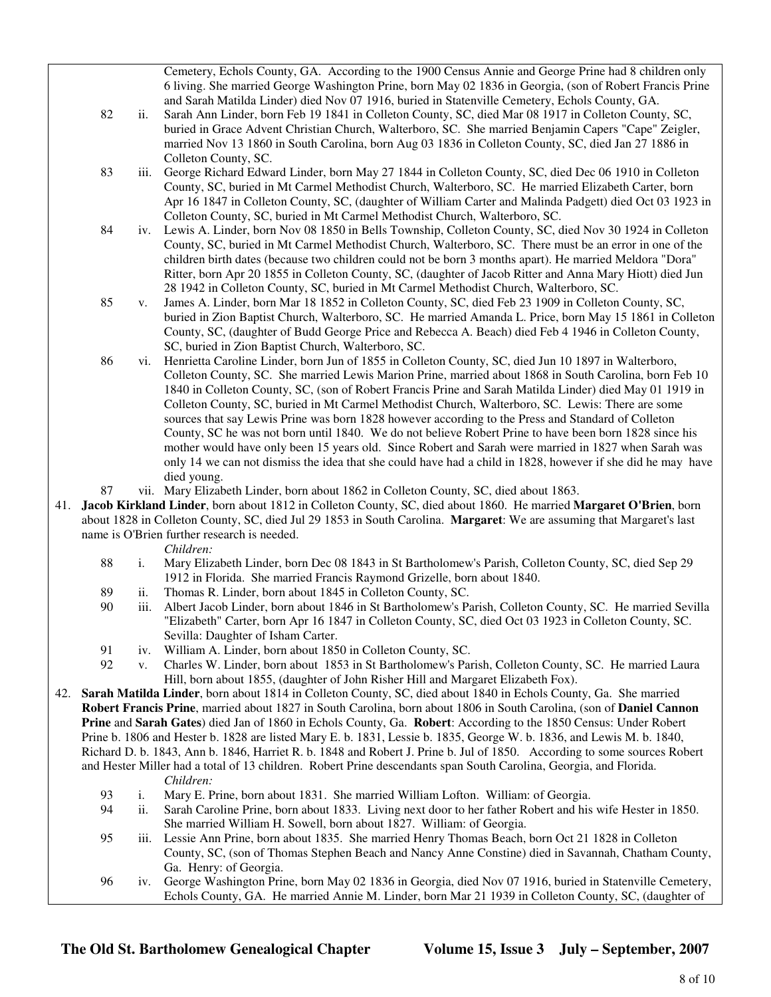Cemetery, Echols County, GA. According to the 1900 Census Annie and George Prine had 8 children only 6 living. She married George Washington Prine, born May 02 1836 in Georgia, (son of Robert Francis Prine and Sarah Matilda Linder) died Nov 07 1916, buried in Statenville Cemetery, Echols County, GA.

- 82 ii. Sarah Ann Linder, born Feb 19 1841 in Colleton County, SC, died Mar 08 1917 in Colleton County, SC, buried in Grace Advent Christian Church, Walterboro, SC. She married Benjamin Capers "Cape" Zeigler, married Nov 13 1860 in South Carolina, born Aug 03 1836 in Colleton County, SC, died Jan 27 1886 in Colleton County, SC.
- 83 iii. George Richard Edward Linder, born May 27 1844 in Colleton County, SC, died Dec 06 1910 in Colleton County, SC, buried in Mt Carmel Methodist Church, Walterboro, SC. He married Elizabeth Carter, born Apr 16 1847 in Colleton County, SC, (daughter of William Carter and Malinda Padgett) died Oct 03 1923 in Colleton County, SC, buried in Mt Carmel Methodist Church, Walterboro, SC.
- 84 iv. Lewis A. Linder, born Nov 08 1850 in Bells Township, Colleton County, SC, died Nov 30 1924 in Colleton County, SC, buried in Mt Carmel Methodist Church, Walterboro, SC. There must be an error in one of the children birth dates (because two children could not be born 3 months apart). He married Meldora "Dora" Ritter, born Apr 20 1855 in Colleton County, SC, (daughter of Jacob Ritter and Anna Mary Hiott) died Jun 28 1942 in Colleton County, SC, buried in Mt Carmel Methodist Church, Walterboro, SC.
- 85 v. James A. Linder, born Mar 18 1852 in Colleton County, SC, died Feb 23 1909 in Colleton County, SC, buried in Zion Baptist Church, Walterboro, SC. He married Amanda L. Price, born May 15 1861 in Colleton County, SC, (daughter of Budd George Price and Rebecca A. Beach) died Feb 4 1946 in Colleton County, SC, buried in Zion Baptist Church, Walterboro, SC.
- 86 vi. Henrietta Caroline Linder, born Jun of 1855 in Colleton County, SC, died Jun 10 1897 in Walterboro, Colleton County, SC. She married Lewis Marion Prine, married about 1868 in South Carolina, born Feb 10 1840 in Colleton County, SC, (son of Robert Francis Prine and Sarah Matilda Linder) died May 01 1919 in Colleton County, SC, buried in Mt Carmel Methodist Church, Walterboro, SC. Lewis: There are some sources that say Lewis Prine was born 1828 however according to the Press and Standard of Colleton County, SC he was not born until 1840. We do not believe Robert Prine to have been born 1828 since his mother would have only been 15 years old. Since Robert and Sarah were married in 1827 when Sarah was only 14 we can not dismiss the idea that she could have had a child in 1828, however if she did he may have died young.
- 87 vii. Mary Elizabeth Linder, born about 1862 in Colleton County, SC, died about 1863.
- 41. **Jacob Kirkland Linder**, born about 1812 in Colleton County, SC, died about 1860. He married **Margaret O'Brien**, born about 1828 in Colleton County, SC, died Jul 29 1853 in South Carolina. **Margaret**: We are assuming that Margaret's last name is O'Brien further research is needed.

*Children:*

- 88 i. Mary Elizabeth Linder, born Dec 08 1843 in St Bartholomew's Parish, Colleton County, SC, died Sep 29 1912 in Florida. She married Francis Raymond Grizelle, born about 1840.
- 89 ii. Thomas R. Linder, born about 1845 in Colleton County, SC.
- 90 iii. Albert Jacob Linder, born about 1846 in St Bartholomew's Parish, Colleton County, SC. He married Sevilla "Elizabeth" Carter, born Apr 16 1847 in Colleton County, SC, died Oct 03 1923 in Colleton County, SC. Sevilla: Daughter of Isham Carter.
- 91 iv. William A. Linder, born about 1850 in Colleton County, SC.<br>92 v. Charles W. Linder, born about 1853 in St Bartholomew's Par
- 92 v. Charles W. Linder, born about 1853 in St Bartholomew's Parish, Colleton County, SC. He married Laura Hill, born about 1855, (daughter of John Risher Hill and Margaret Elizabeth Fox).
- 42. **Sarah Matilda Linder**, born about 1814 in Colleton County, SC, died about 1840 in Echols County, Ga. She married **Robert Francis Prine**, married about 1827 in South Carolina, born about 1806 in South Carolina, (son of **Daniel Cannon Prine** and **Sarah Gates**) died Jan of 1860 in Echols County, Ga. **Robert**: According to the 1850 Census: Under Robert Prine b. 1806 and Hester b. 1828 are listed Mary E. b. 1831, Lessie b. 1835, George W. b. 1836, and Lewis M. b. 1840, Richard D. b. 1843, Ann b. 1846, Harriet R. b. 1848 and Robert J. Prine b. Jul of 1850. According to some sources Robert and Hester Miller had a total of 13 children. Robert Prine descendants span South Carolina, Georgia, and Florida. *Children:*
	- 93 i. Mary E. Prine, born about 1831. She married William Lofton. William: of Georgia.
	- ii. Sarah Caroline Prine, born about 1833. Living next door to her father Robert and his wife Hester in 1850. She married William H. Sowell, born about 1827. William: of Georgia.
	- 95 iii. Lessie Ann Prine, born about 1835. She married Henry Thomas Beach, born Oct 21 1828 in Colleton County, SC, (son of Thomas Stephen Beach and Nancy Anne Constine) died in Savannah, Chatham County, Ga. Henry: of Georgia.
	- 96 iv. George Washington Prine, born May 02 1836 in Georgia, died Nov 07 1916, buried in Statenville Cemetery, Echols County, GA. He married Annie M. Linder, born Mar 21 1939 in Colleton County, SC, (daughter of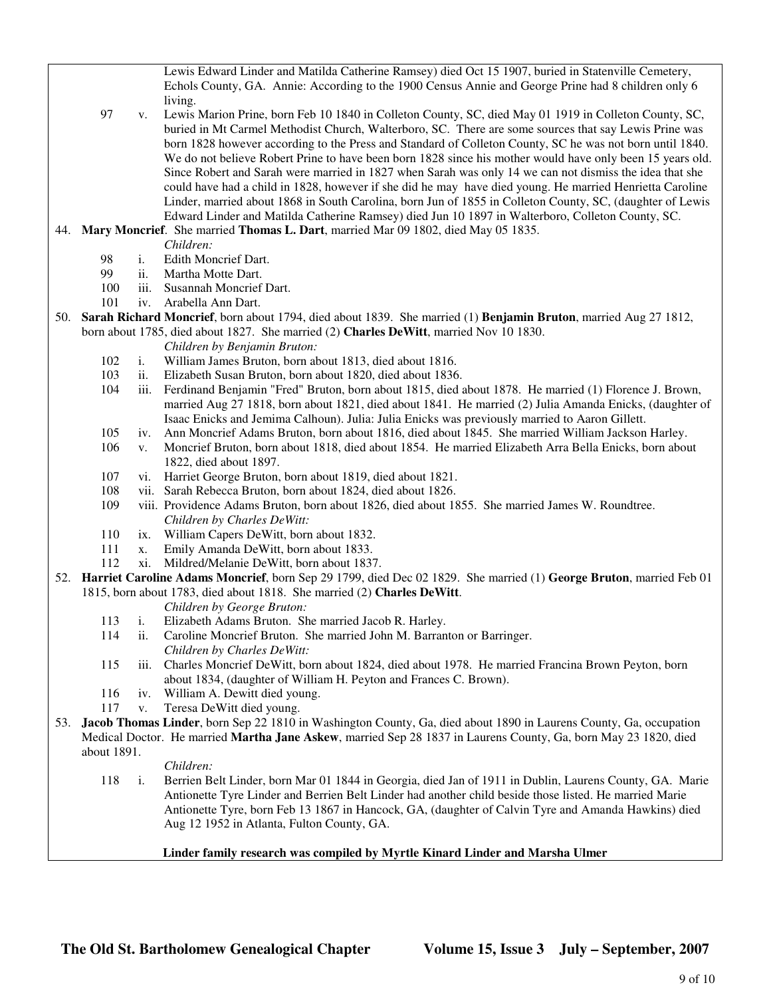Lewis Edward Linder and Matilda Catherine Ramsey) died Oct 15 1907, buried in Statenville Cemetery, Echols County, GA. Annie: According to the 1900 Census Annie and George Prine had 8 children only 6 living.

 97 v. Lewis Marion Prine, born Feb 10 1840 in Colleton County, SC, died May 01 1919 in Colleton County, SC, buried in Mt Carmel Methodist Church, Walterboro, SC. There are some sources that say Lewis Prine was born 1828 however according to the Press and Standard of Colleton County, SC he was not born until 1840. We do not believe Robert Prine to have been born 1828 since his mother would have only been 15 years old. Since Robert and Sarah were married in 1827 when Sarah was only 14 we can not dismiss the idea that she could have had a child in 1828, however if she did he may have died young. He married Henrietta Caroline Linder, married about 1868 in South Carolina, born Jun of 1855 in Colleton County, SC, (daughter of Lewis Edward Linder and Matilda Catherine Ramsey) died Jun 10 1897 in Walterboro, Colleton County, SC.

#### 44. **Mary Moncrief**. She married **Thomas L. Dart**, married Mar 09 1802, died May 05 1835.

- *Children:*
	- 98 i. Edith Moncrief Dart.
	- 99 ii. Martha Motte Dart.
	- 100 iii. Susannah Moncrief Dart.
	- 101 iv. Arabella Ann Dart.
- 50. **Sarah Richard Moncrief**, born about 1794, died about 1839. She married (1) **Benjamin Bruton**, married Aug 27 1812, born about 1785, died about 1827. She married (2) **Charles DeWitt**, married Nov 10 1830.
	- *Children by Benjamin Bruton:*
	- 102 i. William James Bruton, born about 1813, died about 1816.
	- 103 ii. Elizabeth Susan Bruton, born about 1820, died about 1836.
	- 104 iii. Ferdinand Benjamin "Fred" Bruton, born about 1815, died about 1878. He married (1) Florence J. Brown, married Aug 27 1818, born about 1821, died about 1841. He married (2) Julia Amanda Enicks, (daughter of Isaac Enicks and Jemima Calhoun). Julia: Julia Enicks was previously married to Aaron Gillett.
	- 105 iv. Ann Moncrief Adams Bruton, born about 1816, died about 1845. She married William Jackson Harley.
	- 106 v. Moncrief Bruton, born about 1818, died about 1854. He married Elizabeth Arra Bella Enicks, born about 1822, died about 1897.
	- 107 vi. Harriet George Bruton, born about 1819, died about 1821.
	- vii. Sarah Rebecca Bruton, born about 1824, died about 1826.
	- 109 viii. Providence Adams Bruton, born about 1826, died about 1855. She married James W. Roundtree. *Children by Charles DeWitt:*
	- 110 ix. William Capers DeWitt, born about 1832.
	- 111 x. Emily Amanda DeWitt, born about 1833.
	- 112 xi. Mildred/Melanie DeWitt, born about 1837.
- 52. **Harriet Caroline Adams Moncrief**, born Sep 29 1799, died Dec 02 1829. She married (1) **George Bruton**, married Feb 01 1815, born about 1783, died about 1818. She married (2) **Charles DeWitt**.
	- *Children by George Bruton:*
	- 113 i. Elizabeth Adams Bruton. She married Jacob R. Harley.
	- 114 ii. Caroline Moncrief Bruton. She married John M. Barranton or Barringer. *Children by Charles DeWitt:*
	- 115 iii. Charles Moncrief DeWitt, born about 1824, died about 1978. He married Francina Brown Peyton, born about 1834, (daughter of William H. Peyton and Frances C. Brown).
	- 116 iv. William A. Dewitt died young.
	- 117 v. Teresa DeWitt died young.
- 53. **Jacob Thomas Linder**, born Sep 22 1810 in Washington County, Ga, died about 1890 in Laurens County, Ga, occupation Medical Doctor. He married **Martha Jane Askew**, married Sep 28 1837 in Laurens County, Ga, born May 23 1820, died about 1891.

#### *Children:*

 118 i. Berrien Belt Linder, born Mar 01 1844 in Georgia, died Jan of 1911 in Dublin, Laurens County, GA. Marie Antionette Tyre Linder and Berrien Belt Linder had another child beside those listed. He married Marie Antionette Tyre, born Feb 13 1867 in Hancock, GA, (daughter of Calvin Tyre and Amanda Hawkins) died Aug 12 1952 in Atlanta, Fulton County, GA.

#### **Linder family research was compiled by Myrtle Kinard Linder and Marsha Ulmer**